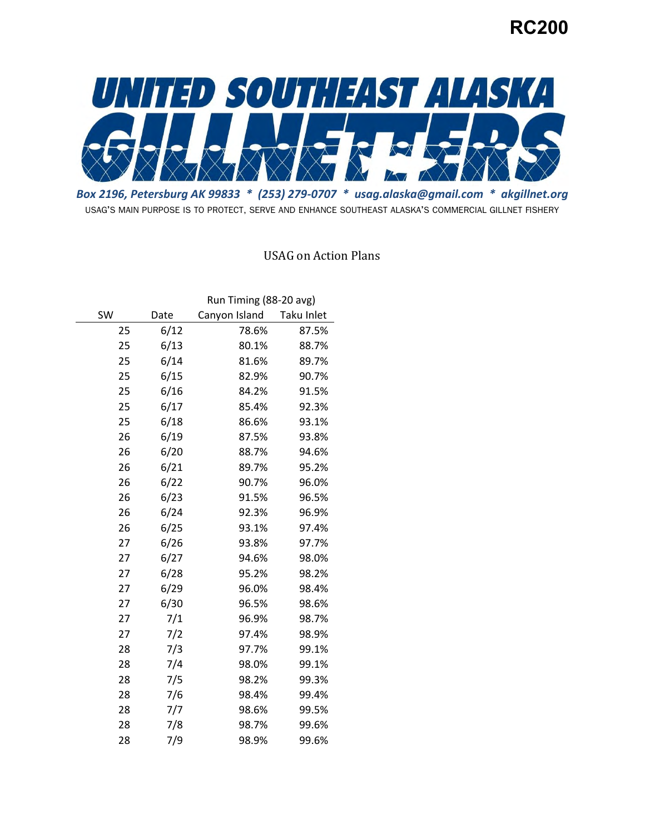# **RC200**



 *Box 2196, Petersburg AK 99833 \* (253) 279-0707 \* [usag.alaska@gmail.com](mailto:usag.alaska@gmail.com) \* [akgillnet.org](https://akgillnet.org)*  USAG'S MAIN PURPOSE IS TO PROTECT, SERVE AND ENHANCE SOUTHEAST ALASKA'S COMMERCIAL GILLNET FISHERY

### USAG on Action Plans

|    |      | Run Timing (88-20 avg) |            |  |
|----|------|------------------------|------------|--|
| SW | Date | Canyon Island          | Taku Inlet |  |
| 25 | 6/12 | 78.6%                  | 87.5%      |  |
| 25 | 6/13 | 80.1%                  | 88.7%      |  |
| 25 | 6/14 | 81.6%                  | 89.7%      |  |
| 25 | 6/15 | 82.9%                  | 90.7%      |  |
| 25 | 6/16 | 84.2%                  | 91.5%      |  |
| 25 | 6/17 | 85.4%                  | 92.3%      |  |
| 25 | 6/18 | 86.6%                  | 93.1%      |  |
| 26 | 6/19 | 87.5%                  | 93.8%      |  |
| 26 | 6/20 | 88.7%                  | 94.6%      |  |
| 26 | 6/21 | 89.7%                  | 95.2%      |  |
| 26 | 6/22 | 90.7%                  | 96.0%      |  |
| 26 | 6/23 | 91.5%                  | 96.5%      |  |
| 26 | 6/24 | 92.3%                  | 96.9%      |  |
| 26 | 6/25 | 93.1%                  | 97.4%      |  |
| 27 | 6/26 | 93.8%                  | 97.7%      |  |
| 27 | 6/27 | 94.6%                  | 98.0%      |  |
| 27 | 6/28 | 95.2%                  | 98.2%      |  |
| 27 | 6/29 | 96.0%                  | 98.4%      |  |
| 27 | 6/30 | 96.5%                  | 98.6%      |  |
| 27 | 7/1  | 96.9%                  | 98.7%      |  |
| 27 | 7/2  | 97.4%                  | 98.9%      |  |
| 28 | 7/3  | 97.7%                  | 99.1%      |  |
| 28 | 7/4  | 98.0%                  | 99.1%      |  |
| 28 | 7/5  | 98.2%                  | 99.3%      |  |
| 28 | 7/6  | 98.4%                  | 99.4%      |  |
| 28 | 7/7  | 98.6%                  | 99.5%      |  |
| 28 | 7/8  | 98.7%                  | 99.6%      |  |
| 28 | 7/9  | 98.9%                  | 99.6%      |  |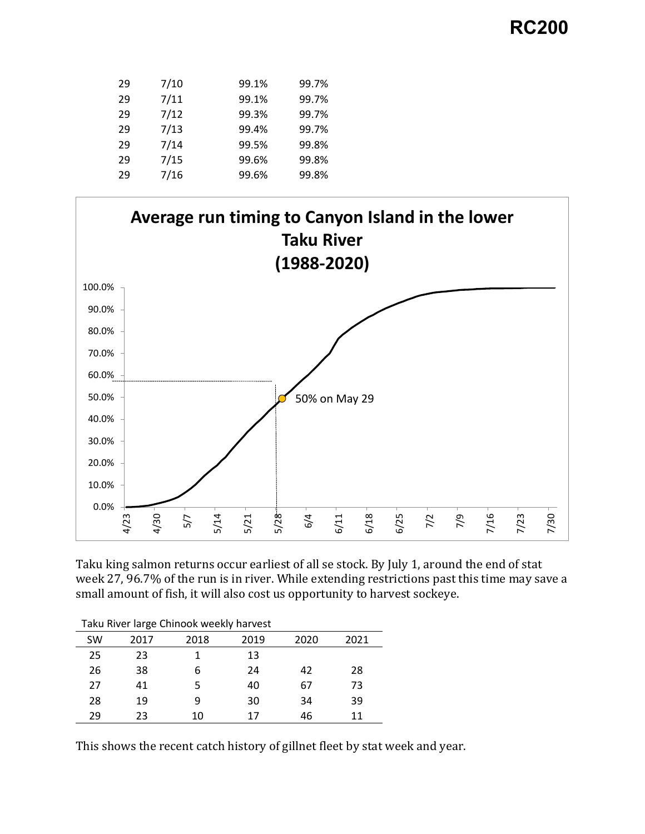# **RC200**

| 29 | 7/10 | 99.1% | 99.7% |
|----|------|-------|-------|
| 29 | 7/11 | 99.1% | 99.7% |
| 29 | 7/12 | 99.3% | 99.7% |
| 29 | 7/13 | 99.4% | 99.7% |
| 29 | 7/14 | 99.5% | 99.8% |
| 29 | 7/15 | 99.6% | 99.8% |
| 29 | 7/16 | 99.6% | 99.8% |
|    |      |       |       |



Taku king salmon returns occur earliest of all se stock. By July 1, around the end of stat week 27, 96.7% of the run is in river. While extending restrictions past this time may save a small amount of fish, it will also cost us opportunity to harvest sockeye.

| Taku River large Chinook weekly harvest |      |      |      |      |      |
|-----------------------------------------|------|------|------|------|------|
| SW                                      | 2017 | 2018 | 2019 | 2020 | 2021 |
| 25                                      | 23   |      | 13   |      |      |
| 26                                      | 38   | 6    | 24   | 42   | 28   |
| 27                                      | 41   | 5    | 40   | 67   | 73   |
| 28                                      | 19   | 9    | 30   | 34   | 39   |
| 29                                      | 23   | 10   | 17   | 46   | 11   |

This shows the recent catch history of gillnet fleet by stat week and year.